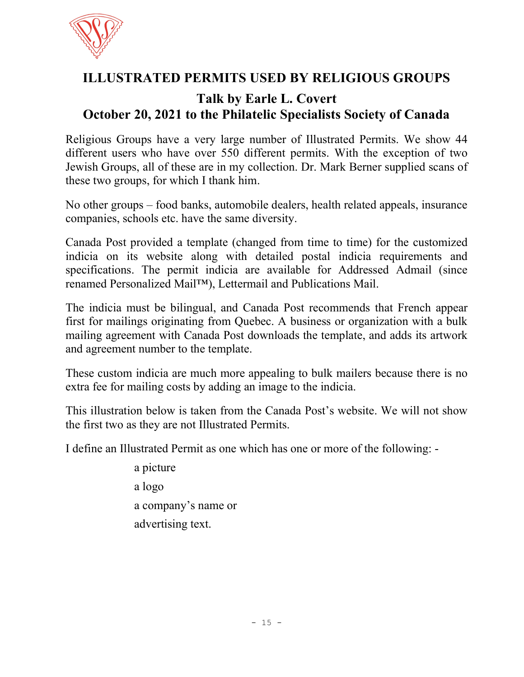

## ILLUSTRATED PERMITS USED BY RELIGIOUS GROUPS

## Talk by Earle L. Covert October 20, 2021 to the Philatelic Specialists Society of Canada

Religious Groups have a very large number of Illustrated Permits. We show 44 different users who have over 550 different permits. With the exception of two Jewish Groups, all of these are in my collection. Dr. Mark Berner supplied scans of these two groups, for which I thank him.

No other groups – food banks, automobile dealers, health related appeals, insurance companies, schools etc. have the same diversity.

Canada Post provided a template (changed from time to time) for the customized indicia on its website along with detailed postal indicia requirements and specifications. The permit indicia are available for Addressed Admail (since renamed Personalized Mail™), Lettermail and Publications Mail.

The indicia must be bilingual, and Canada Post recommends that French appear first for mailings originating from Quebec. A business or organization with a bulk mailing agreement with Canada Post downloads the template, and adds its artwork and agreement number to the template.

These custom indicia are much more appealing to bulk mailers because there is no extra fee for mailing costs by adding an image to the indicia.

This illustration below is taken from the Canada Post's website. We will not show the first two as they are not Illustrated Permits.

I define an Illustrated Permit as one which has one or more of the following: -

 a picture a logo a company's name or advertising text.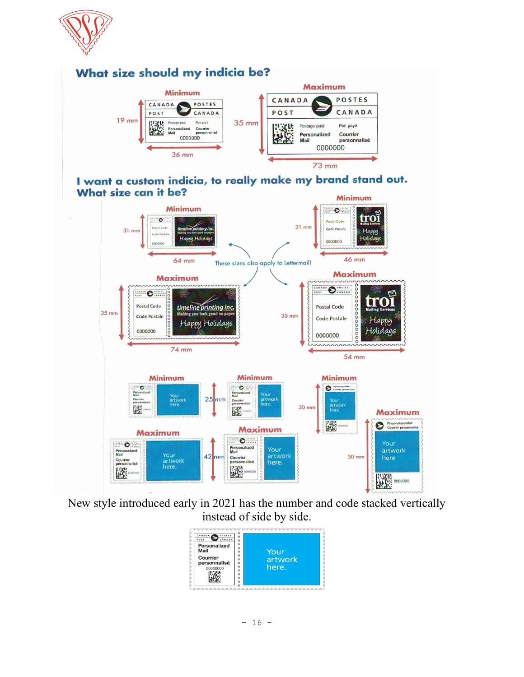



New style introduced early in 2021 has the number and code stacked vertically instead of side by side.